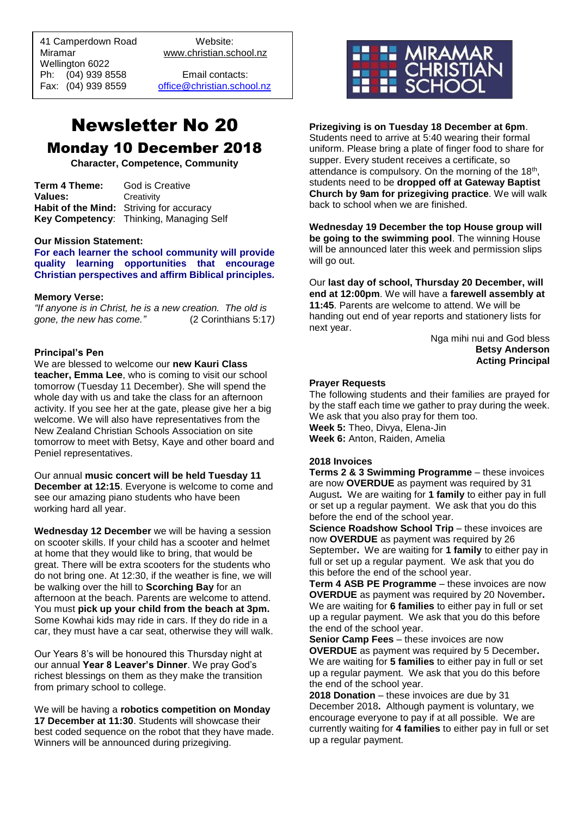41 Camperdown Road Website:<br>Miramar Www.christian.sc Wellington 6022 Ph: (04) 939 8558 Email contacts:

 $\overline{a}$ 

www.christian.school.nz

Fax: (04) 939 8559 [office@christian.school.nz](mailto:office@christian.school.nz)

# Newsletter No 20 Monday 10 December 2018

**Character, Competence, Community**

| Term 4 Theme: | God is Creative                          |
|---------------|------------------------------------------|
| Values:       | Creativity                               |
|               | Habit of the Mind: Striving for accuracy |
|               | Key Competency: Thinking, Managing Self  |

#### **Our Mission Statement:**

**For each learner the school community will provide quality learning opportunities that encourage Christian perspectives and affirm Biblical principles***.*

#### **Memory Verse:**

*"If anyone is in Christ, he is a new creation. The old is gone, the new has come."* (2 Corinthians 5:17*)* 

#### **Principal's Pen**

We are blessed to welcome our **new Kauri Class teacher, Emma Lee**, who is coming to visit our school tomorrow (Tuesday 11 December). She will spend the whole day with us and take the class for an afternoon activity. If you see her at the gate, please give her a big welcome. We will also have representatives from the New Zealand Christian Schools Association on site tomorrow to meet with Betsy, Kaye and other board and Peniel representatives.

Our annual **music concert will be held Tuesday 11 December at 12:15.** Everyone is welcome to come and see our amazing piano students who have been working hard all year.

**Wednesday 12 December** we will be having a session on scooter skills. If your child has a scooter and helmet at home that they would like to bring, that would be great. There will be extra scooters for the students who do not bring one. At 12:30, if the weather is fine, we will be walking over the hill to **Scorching Bay** for an afternoon at the beach. Parents are welcome to attend. You must **pick up your child from the beach at 3pm.**  Some Kowhai kids may ride in cars. If they do ride in a car, they must have a car seat, otherwise they will walk.

Our Years 8's will be honoured this Thursday night at our annual **Year 8 Leaver's Dinner**. We pray God's richest blessings on them as they make the transition from primary school to college.

We will be having a **robotics competition on Monday 17 December at 11:30**. Students will showcase their best coded sequence on the robot that they have made. Winners will be announced during prizegiving.



## **Prizegiving is on Tuesday 18 December at 6pm**.

Students need to arrive at 5:40 wearing their formal uniform. Please bring a plate of finger food to share for supper. Every student receives a certificate, so attendance is compulsory. On the morning of the 18<sup>th</sup>, students need to be **dropped off at Gateway Baptist Church by 9am for prizegiving practice**. We will walk back to school when we are finished.

**Wednesday 19 December the top House group will be going to the swimming pool**. The winning House will be announced later this week and permission slips will go out.

Our **last day of school, Thursday 20 December, will end at 12:00pm**. We will have a **farewell assembly at 11:45**. Parents are welcome to attend. We will be handing out end of year reports and stationery lists for next year.

Nga mihi nui and God bless **Betsy Anderson Acting Principal**

#### **Prayer Requests**

The following students and their families are prayed for by the staff each time we gather to pray during the week. We ask that you also pray for them too. **Week 5:** Theo, Divya, Elena-Jin **Week 6:** Anton, Raiden, Amelia

### **2018 Invoices**

**Terms 2 & 3 Swimming Programme** – these invoices are now **OVERDUE** as payment was required by 31 August**.** We are waiting for **1 family** to either pay in full or set up a regular payment. We ask that you do this before the end of the school year.

**Science Roadshow School Trip** – these invoices are now **OVERDUE** as payment was required by 26 September**.** We are waiting for **1 family** to either pay in full or set up a regular payment. We ask that you do this before the end of the school year.

**Term 4 ASB PE Programme** – these invoices are now **OVERDUE** as payment was required by 20 November**.** We are waiting for **6 families** to either pay in full or set up a regular payment. We ask that you do this before the end of the school year.

**Senior Camp Fees** – these invoices are now **OVERDUE** as payment was required by 5 December**.** We are waiting for **5 families** to either pay in full or set up a regular payment. We ask that you do this before the end of the school year.

**2018 Donation** – these invoices are due by 31 December 2018**.** Although payment is voluntary, we encourage everyone to pay if at all possible. We are currently waiting for **4 families** to either pay in full or set up a regular payment.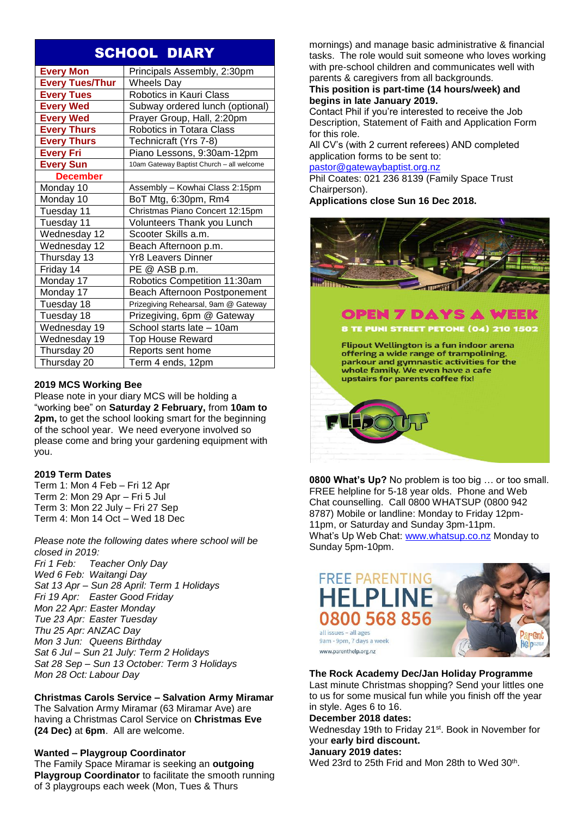# SCHOOL DIARY

| <b>Every Mon</b>       | Principals Assembly, 2:30pm               |
|------------------------|-------------------------------------------|
| <b>Every Tues/Thur</b> | <b>Wheels Day</b>                         |
| <b>Every Tues</b>      | Robotics in Kauri Class                   |
| <b>Every Wed</b>       | Subway ordered lunch (optional)           |
| <b>Every Wed</b>       | Prayer Group, Hall, 2:20pm                |
| <b>Every Thurs</b>     | Robotics in Totara Class                  |
| <b>Every Thurs</b>     | Technicraft (Yrs 7-8)                     |
| <b>Every Fri</b>       | Piano Lessons, 9:30am-12pm                |
| <b>Every Sun</b>       | 10am Gateway Baptist Church - all welcome |
| <b>December</b>        |                                           |
| Monday 10              | Assembly - Kowhai Class 2:15pm            |
| Monday 10              | BoT Mtg, 6:30pm, Rm4                      |
| Tuesday 11             | Christmas Piano Concert 12:15pm           |
| Tuesday 11             | Volunteers Thank you Lunch                |
| Wednesday 12           | Scooter Skills a.m.                       |
| Wednesday 12           | Beach Afternoon p.m.                      |
| Thursday 13            | Yr8 Leavers Dinner                        |
| Friday 14              | PE @ ASB p.m.                             |
| Monday 17              | Robotics Competition 11:30am              |
| Monday 17              | Beach Afternoon Postponement              |
| Tuesday 18             | Prizegiving Rehearsal, 9am @ Gateway      |
| Tuesday 18             | Prizegiving, 6pm @ Gateway                |
| Wednesday 19           | School starts late - 10am                 |
| Wednesday 19           | Top House Reward                          |
| Thursday 20            | Reports sent home                         |
| Thursday 20            | Term 4 ends, 12pm                         |

# **2019 MCS Working Bee**

Please note in your diary MCS will be holding a "working bee" on **Saturday 2 February,** from **10am to 2pm,** to get the school looking smart for the beginning of the school year. We need everyone involved so please come and bring your gardening equipment with you.

# **2019 Term Dates**

Term 1: Mon 4 Feb – Fri 12 Apr Term 2: Mon 29 Apr – Fri 5 Jul Term 3: Mon 22 July – Fri 27 Sep Term 4: Mon 14 Oct – Wed 18 Dec

*Please note the following dates where school will be closed in 2019: Fri 1 Feb: Teacher Only Day Wed 6 Feb: Waitangi Day Sat 13 Apr – Sun 28 April: Term 1 Holidays Fri 19 Apr: Easter Good Friday Mon 22 Apr: Easter Monday Tue 23 Apr: Easter Tuesday Thu 25 Apr: ANZAC Day Mon 3 Jun: Queens Birthday Sat 6 Jul – Sun 21 July: Term 2 Holidays Sat 28 Sep – Sun 13 October: Term 3 Holidays Mon 28 Oct: Labour Day*

**Christmas Carols Service – Salvation Army Miramar** The Salvation Army Miramar (63 Miramar Ave) are having a Christmas Carol Service on **Christmas Eve (24 Dec)** at **6pm**. All are welcome.

# **Wanted – Playgroup Coordinator**

The Family Space Miramar is seeking an **outgoing Playgroup Coordinator** to facilitate the smooth running of 3 playgroups each week (Mon, Tues & Thurs

mornings) and manage basic administrative & financial tasks. The role would suit someone who loves working with pre-school children and communicates well with parents & caregivers from all backgrounds.

## **This position is part-time (14 hours/week) and begins in late January 2019.**

Contact Phil if you're interested to receive the Job Description, Statement of Faith and Application Form for this role.

All CV's (with 2 current referees) AND completed application forms to be sent to:

[pastor@gatewaybaptist.org.nz](mailto:pastor@gatewaybaptist.org.nz)

Phil Coates: 021 236 8139 (Family Space Trust Chairperson).

**Applications close Sun 16 Dec 2018.**



**0800 What's Up?** No problem is too big … or too small. FREE helpline for 5-18 year olds. Phone and Web Chat counselling. Call 0800 WHATSUP (0800 942 8787) Mobile or landline: Monday to Friday 12pm-11pm, or Saturday and Sunday 3pm-11pm. What's Up Web Chat: [www.whatsup.co.nz](http://www.whatsup.co.nz/) Monday to Sunday 5pm-10pm.



## **The Rock Academy Dec/Jan Holiday Programme**

Last minute Christmas shopping? Send your littles one to us for some musical fun while you finish off the year in style. Ages 6 to 16.

## **December 2018 dates:**

Wednesday 19th to Friday 21<sup>st</sup>. Book in November for your **early bird discount.**

#### **January 2019 dates:**

Wed 23rd to 25th Frid and Mon 28th to Wed 30<sup>th</sup>.